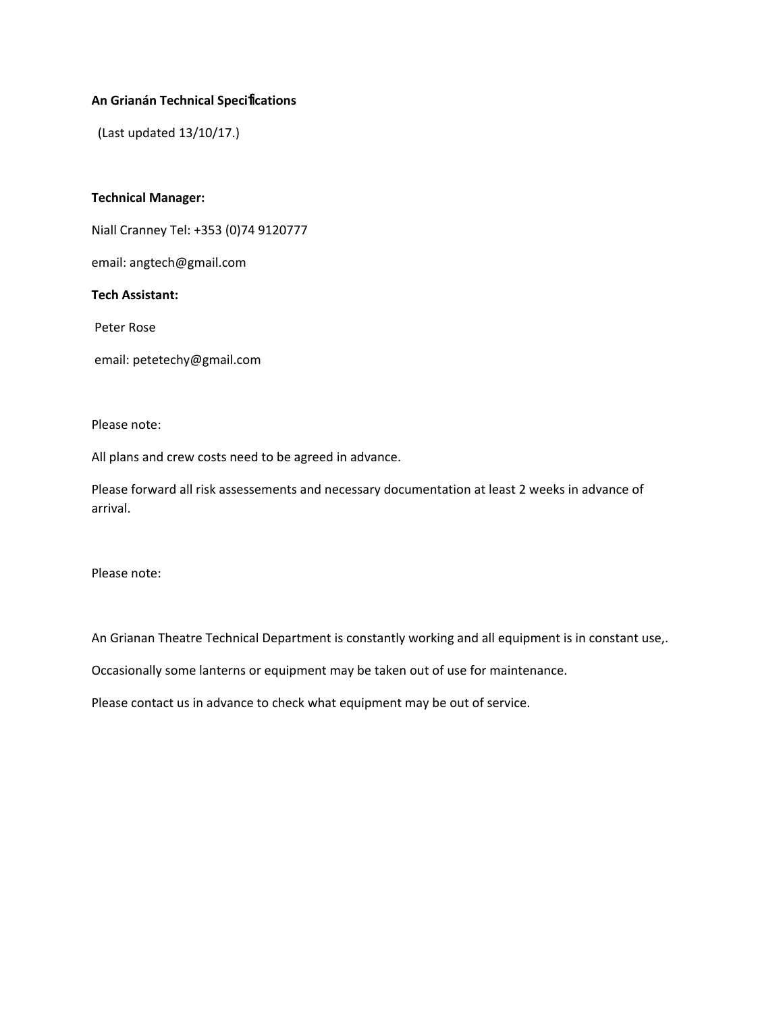### **An Grianán Technical Speci**fi**cations**

(Last updated 13/10/17.)

#### **Technical Manager:**

Niall Cranney Tel: +353 (0)74 9120777

email: angtech@gmail.com

### **Tech Assistant:**

Peter Rose

email: petetechy@gmail.com

#### Please note:

All plans and crew costs need to be agreed in advance.

Please forward all risk assessements and necessary documentation at least 2 weeks in advance of arrival.

Please note:

An Grianan Theatre Technical Department is constantly working and all equipment is in constant use,.

Occasionally some lanterns or equipment may be taken out of use for maintenance.

Please contact us in advance to check what equipment may be out of service.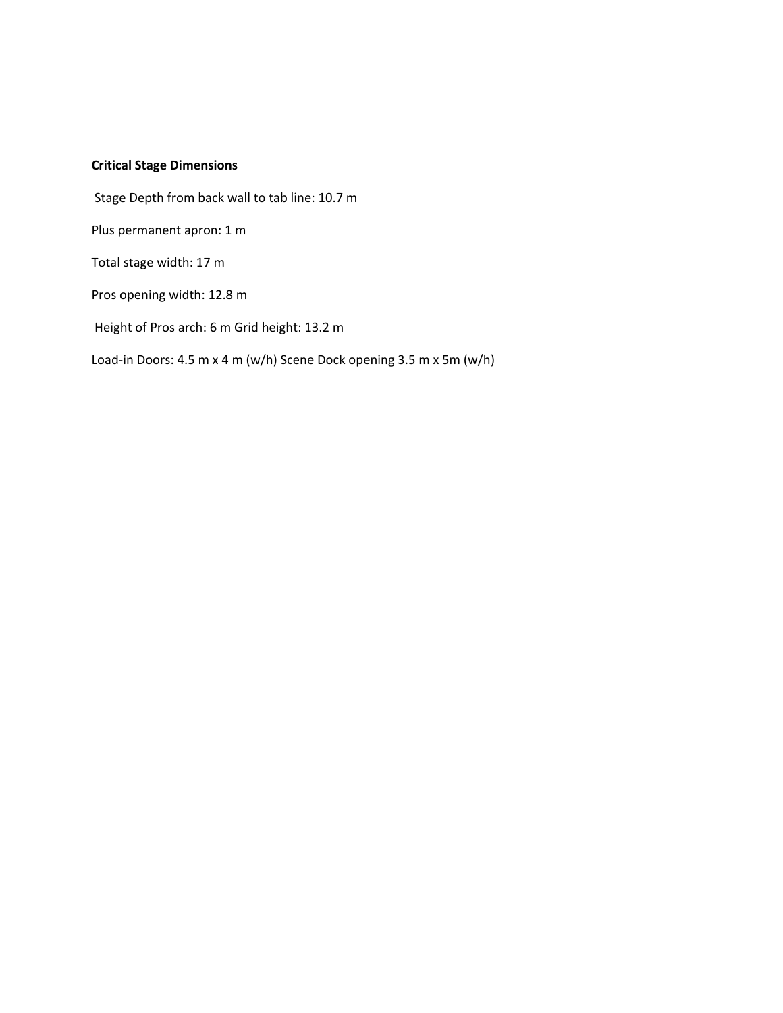### **Critical Stage Dimensions**

Stage Depth from back wall to tab line: 10.7 m

Plus permanent apron: 1 m

Total stage width: 17 m

Pros opening width: 12.8 m

Height of Pros arch: 6 m Grid height: 13.2 m

Load-in Doors: 4.5 m x 4 m (w/h) Scene Dock opening 3.5 m x 5m (w/h)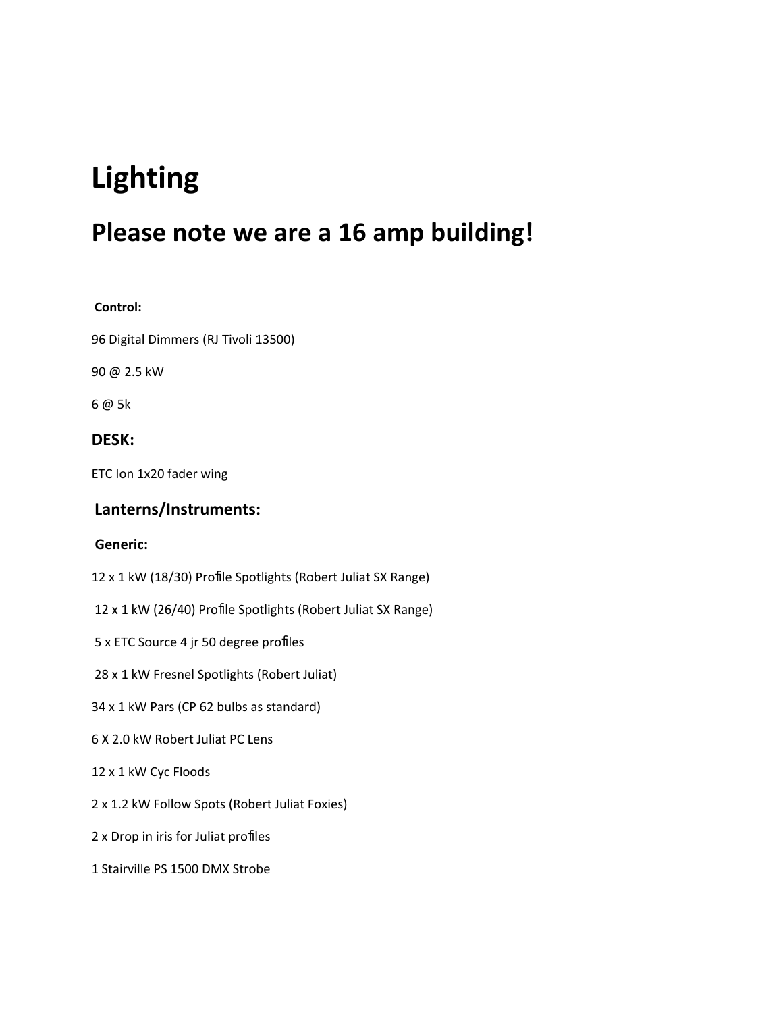# **Lighting**

# **Please note we are a 16 amp building!**

### **Control:**

Digital Dimmers (RJ Tivoli 13500)

@ 2.5 kW

@ 5k

### **DESK:**

ETC Ion 1x20 fader wing

### **Lanterns/Instruments:**

### **Generic:**

x 1 kW (18/30) Profile Spotlights (Robert Juliat SX Range)

x 1 kW (26/40) Profile Spotlights (Robert Juliat SX Range)

x ETC Source 4 jr 50 degree profiles

x 1 kW Fresnel Spotlights (Robert Juliat)

x 1 kW Pars (CP 62 bulbs as standard)

X 2.0 kW Robert Juliat PC Lens

x 1 kW Cyc Floods

x 1.2 kW Follow Spots (Robert Juliat Foxies)

x Drop in iris for Juliat profiles

Stairville PS 1500 DMX Strobe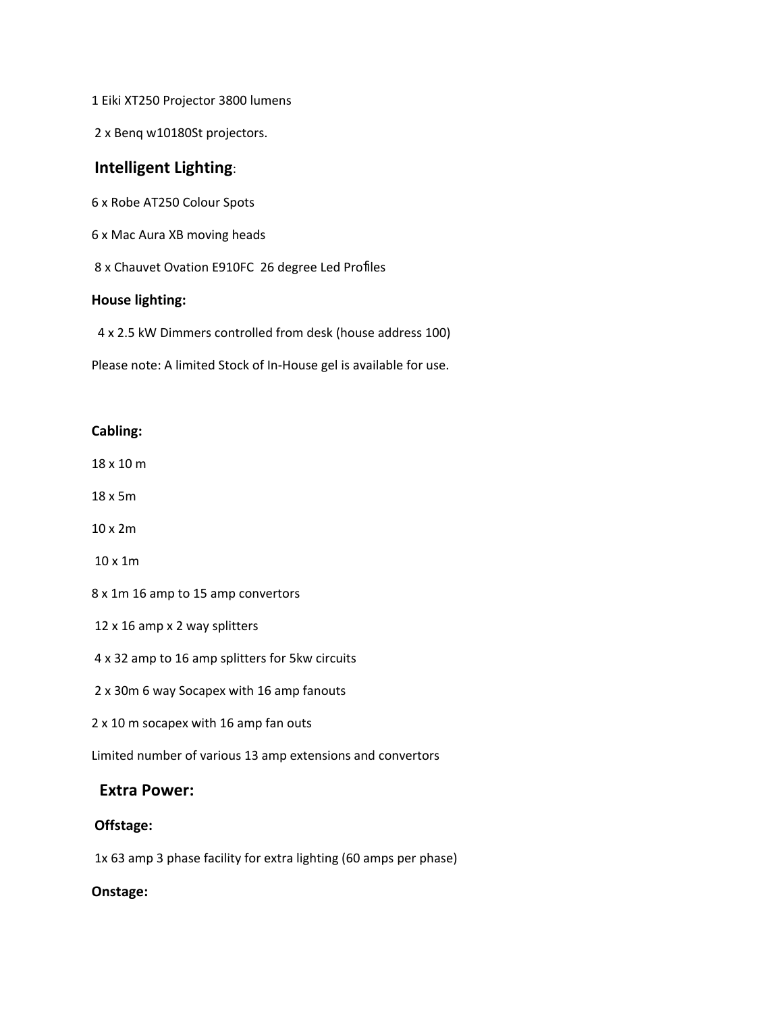Eiki XT250 Projector 3800 lumens

x Benq w10180St projectors.

### **Intelligent Lighting**:

x Robe AT250 Colour Spots

x Mac Aura XB moving heads

x Chauvet Ovation E910FC 26 degree Led Profiles

#### **House lighting:**

x 2.5 kW Dimmers controlled from desk (house address 100)

Please note: A limited Stock of In-House gel is available for use.

#### **Cabling:**

x 10 m

x 5m

x 2m

x 1m

x 1m 16 amp to 15 amp convertors

x 16 amp x 2 way splitters

x 32 amp to 16 amp splitters for 5kw circuits

x 30m 6 way Socapex with 16 amp fanouts

x 10 m socapex with 16 amp fan outs

Limited number of various 13 amp extensions and convertors

### **Extra Power:**

### **Offstage:**

1x 63 amp 3 phase facility for extra lighting (60 amps per phase)

### **Onstage:**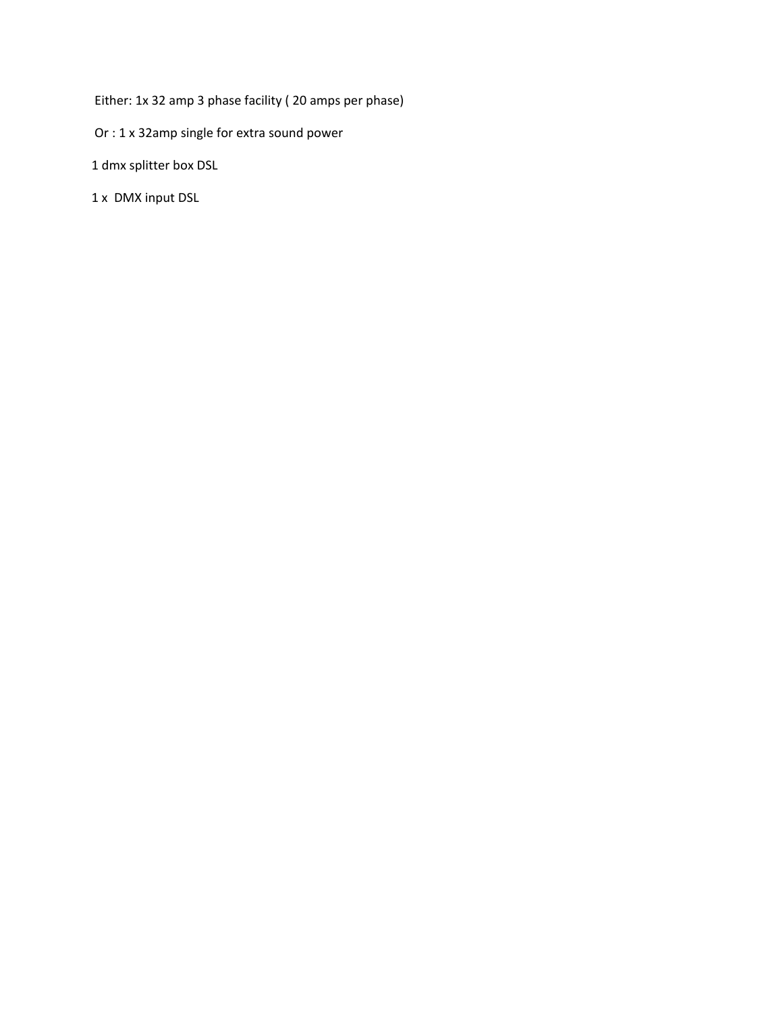Either: 1x 32 amp 3 phase facility ( 20 amps per phase)

Or : 1 x 32amp single for extra sound power

1 dmx splitter box DSL

1 x DMX input DSL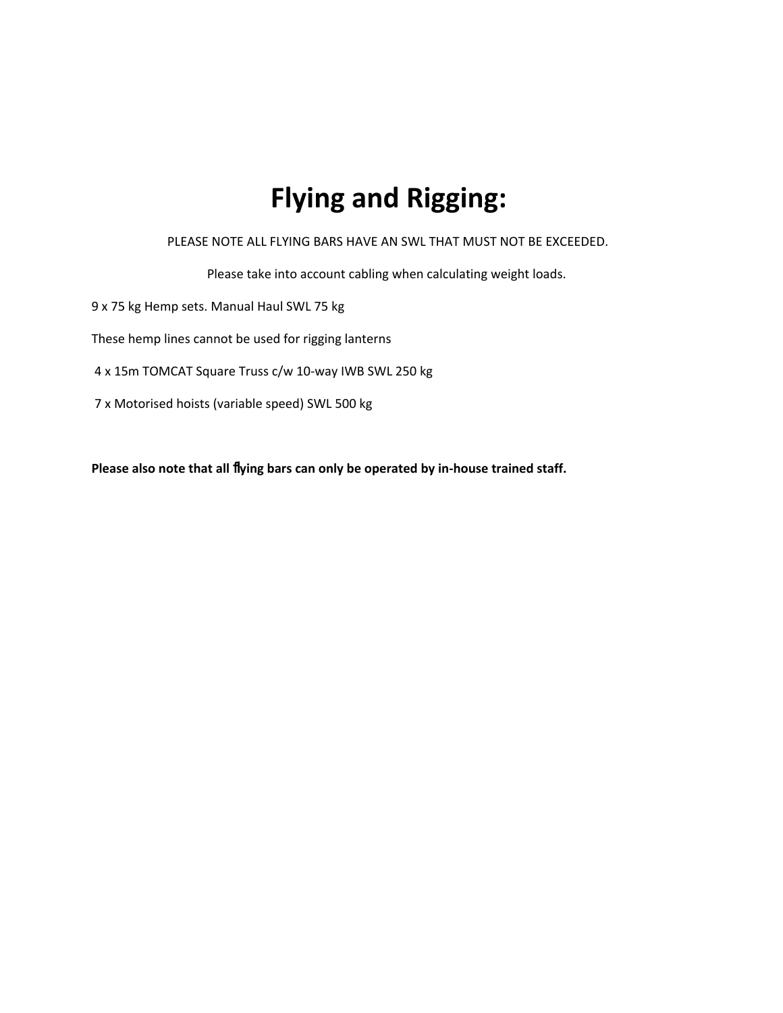# **Flying and Rigging:**

PLEASE NOTE ALL FLYING BARS HAVE AN SWL THAT MUST NOT BE EXCEEDED.

Please take into account cabling when calculating weight loads.

9 x 75 kg Hemp sets. Manual Haul SWL 75 kg

These hemp lines cannot be used for rigging lanterns

4 x 15m TOMCAT Square Truss c/w 10-way IWB SWL 250 kg

7 x Motorised hoists (variable speed) SWL 500 kg

**Please also note that all** fl**ying bars can only be operated by in-house trained staff.**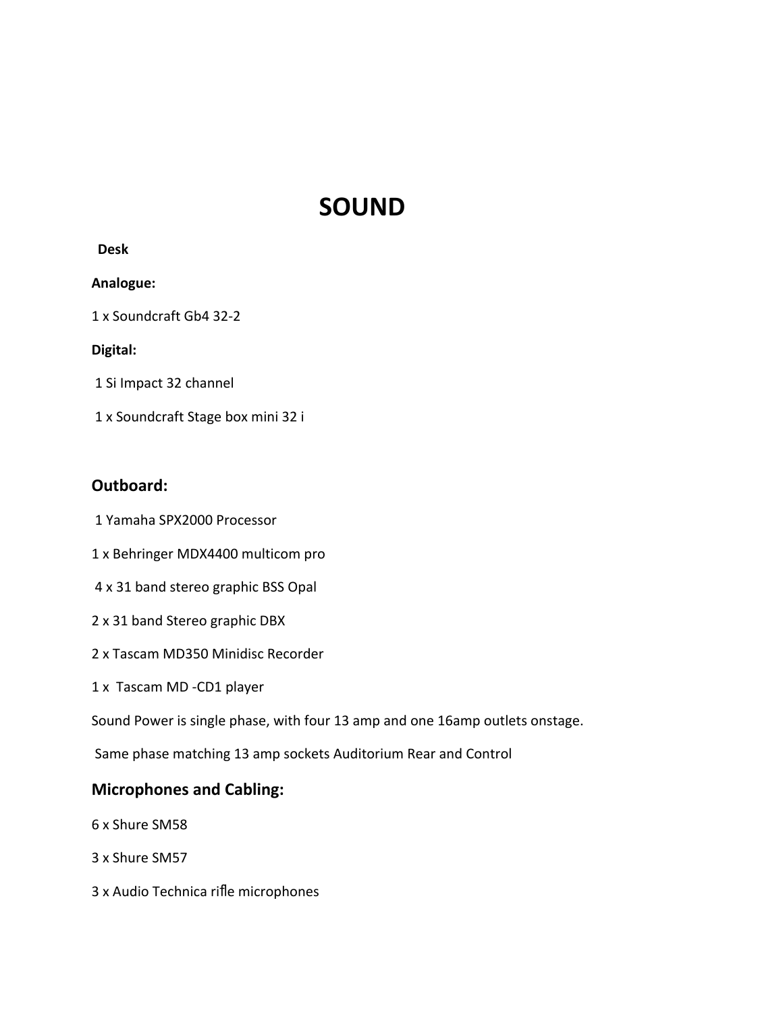# **SOUND**

### **Desk**

### **Analogue:**

1 x Soundcraft Gb4 32-2

### **Digital:**

1 Si Impact 32 channel

1 x Soundcraft Stage box mini 32 i

## **Outboard:**

1 Yamaha SPX2000 Processor

- 1 x Behringer MDX4400 multicom pro
- 4 x 31 band stereo graphic BSS Opal
- 2 x 31 band Stereo graphic DBX
- 2 x Tascam MD350 Minidisc Recorder
- 1 x Tascam MD -CD1 player

Sound Power is single phase, with four 13 amp and one 16amp outlets onstage.

Same phase matching 13 amp sockets Auditorium Rear and Control

# **Microphones and Cabling:**

- 6 x Shure SM58
- 3 x Shure SM57
- 3 x Audio Technica rifle microphones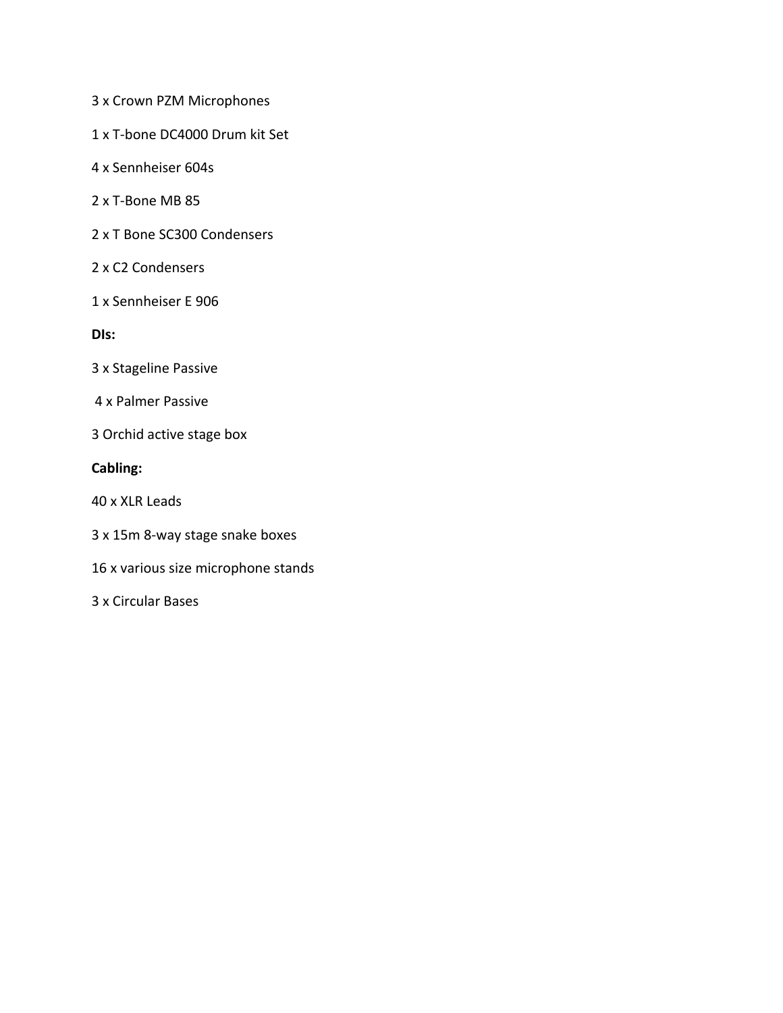3 x Crown PZM Microphones

1 x T-bone DC4000 Drum kit Set

- 4 x Sennheiser 604s
- 2 x T-Bone MB 85
- 2 x T Bone SC300 Condensers
- 2 x C2 Condensers
- 1 x Sennheiser E 906

**DIs:**

- 3 x Stageline Passive
- 4 x Palmer Passive
- 3 Orchid active stage box

### **Cabling:**

40 x XLR Leads

- 3 x 15m 8-way stage snake boxes
- 16 x various size microphone stands

3 x Circular Bases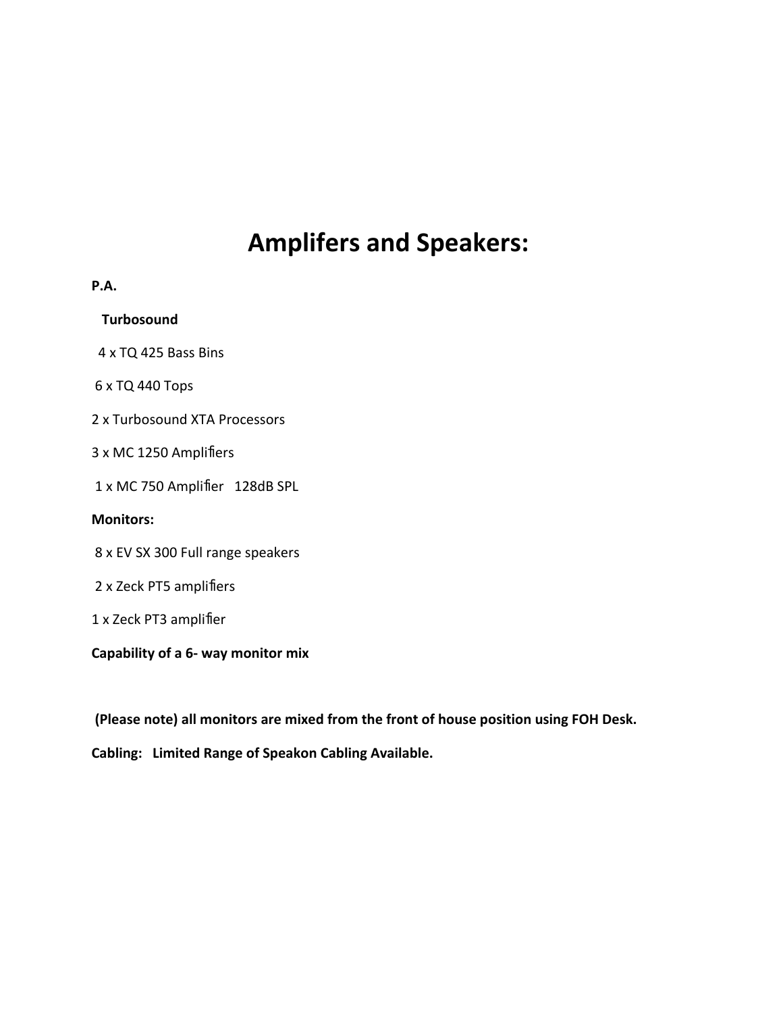# **Amplifers and Speakers:**

| P.A.                              |
|-----------------------------------|
| <b>Turbosound</b>                 |
| 4 x TQ 425 Bass Bins              |
| 6 x TQ 440 Tops                   |
| 2 x Turbosound XTA Processors     |
| 3 x MC 1250 Amplifiers            |
| 1 x MC 750 Amplifier 128dB SPL    |
| <b>Monitors:</b>                  |
| 8 x EV SX 300 Full range speakers |
| 2 x Zeck PT5 amplifiers           |
| 1 x Zeck PT3 amplifier            |
|                                   |

**Capability of a 6- way monitor mix** 

 **(Please note) all monitors are mixed from the front of house position using FOH Desk.** 

**Cabling: Limited Range of Speakon Cabling Available.**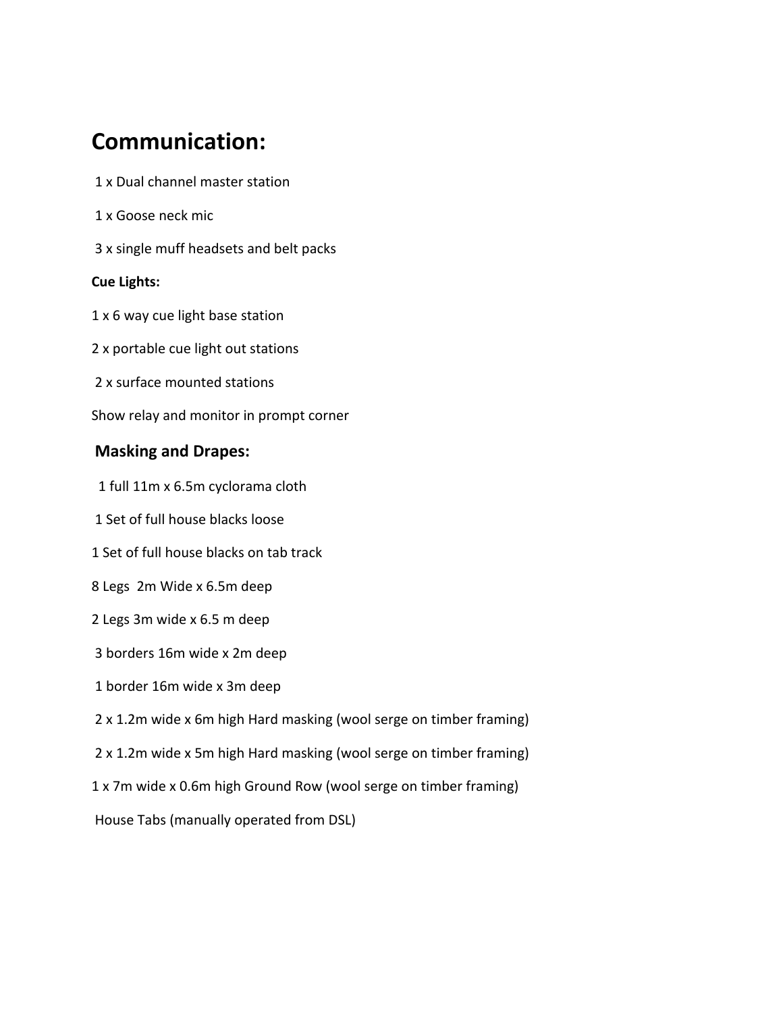# **Communication:**

- 1 x Dual channel master station
- 1 x Goose neck mic
- 3 x single muff headsets and belt packs

### **Cue Lights:**

- 1 x 6 way cue light base station
- 2 x portable cue light out stations
- 2 x surface mounted stations
- Show relay and monitor in prompt corner

## **Masking and Drapes:**

- 1 full 11m x 6.5m cyclorama cloth
- 1 Set of full house blacks loose
- 1 Set of full house blacks on tab track
- 8 Legs 2m Wide x 6.5m deep
- 2 Legs 3m wide x 6.5 m deep
- 3 borders 16m wide x 2m deep
- 1 border 16m wide x 3m deep
- 2 x 1.2m wide x 6m high Hard masking (wool serge on timber framing)
- 2 x 1.2m wide x 5m high Hard masking (wool serge on timber framing)
- 1 x 7m wide x 0.6m high Ground Row (wool serge on timber framing)
- House Tabs (manually operated from DSL)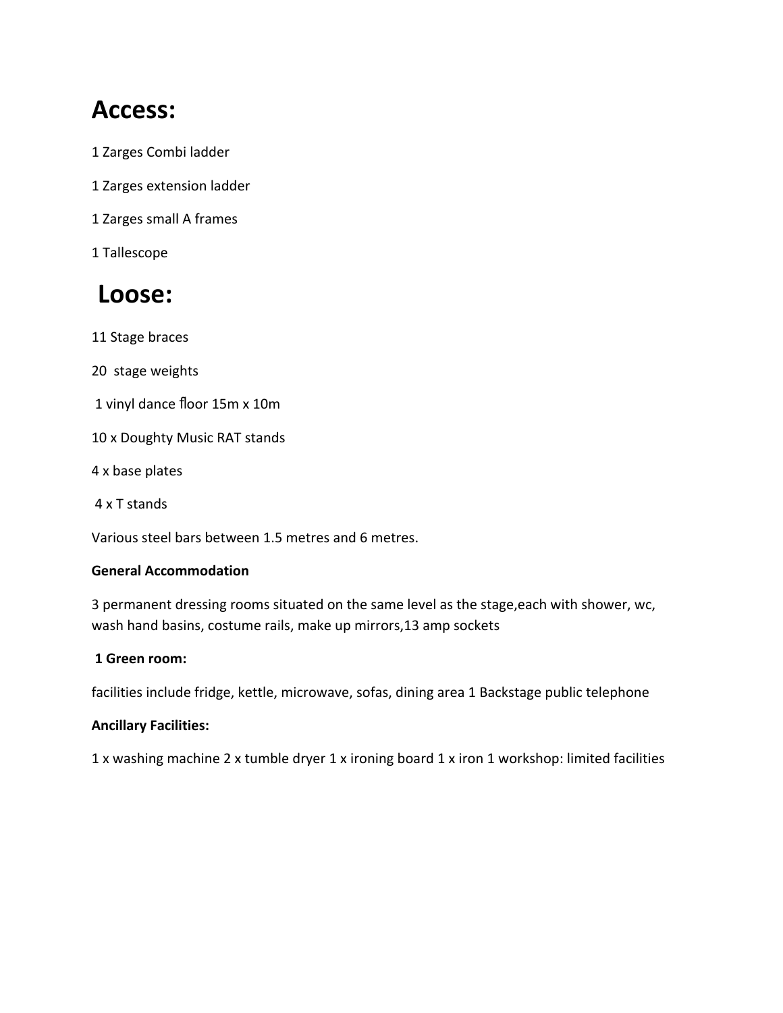# **Access:**

- 1 Zarges Combi ladder
- 1 Zarges extension ladder
- 1 Zarges small A frames
- 1 Tallescope

# **Loose:**

- 11 Stage braces
- 20 stage weights
- 1 vinyl dance floor 15m x 10m
- 10 x Doughty Music RAT stands
- 4 x base plates
- 4 x T stands

Various steel bars between 1.5 metres and 6 metres.

### **General Accommodation**

3 permanent dressing rooms situated on the same level as the stage,each with shower, wc, wash hand basins, costume rails, make up mirrors,13 amp sockets

### **1 Green room:**

facilities include fridge, kettle, microwave, sofas, dining area 1 Backstage public telephone

### **Ancillary Facilities:**

1 x washing machine 2 x tumble dryer 1 x ironing board 1 x iron 1 workshop: limited facilities